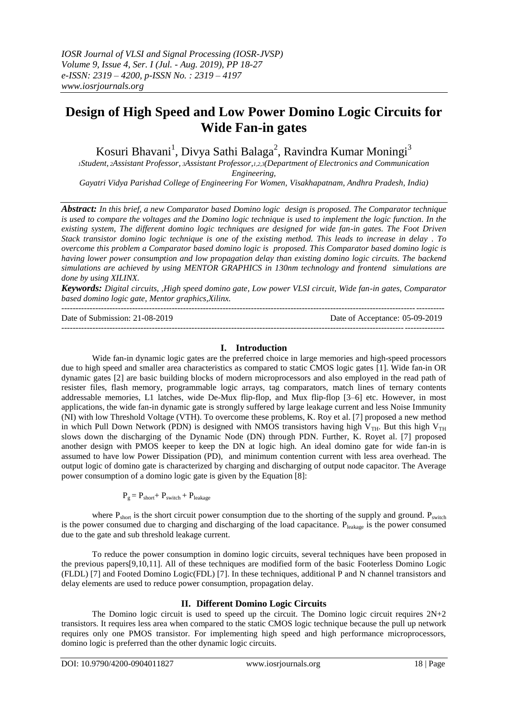# **Design of High Speed and Low Power Domino Logic Circuits for Wide Fan-in gates**

Kosuri Bhavani<sup>1</sup>, Divya Sathi Balaga<sup>2</sup>, Ravindra Kumar Moningi<sup>3</sup>

*<sup>1</sup>Student, <sup>2</sup>Assistant Professor, <sup>3</sup>Assistant Professor,1,2,3(Department of Electronics and Communication Engineering,* 

*Gayatri Vidya Parishad College of Engineering For Women, Visakhapatnam, Andhra Pradesh, India)*

*Abstract: In this brief, a new Comparator based Domino logic design is proposed. The Comparator technique is used to compare the voltages and the Domino logic technique is used to implement the logic function. In the existing system, The different domino logic techniques are designed for wide fan-in gates. The Foot Driven Stack transistor domino logic technique is one of the existing method. This leads to increase in delay . To overcome this problem a Comparator based domino logic is proposed. This Comparator based domino logic is having lower power consumption and low propagation delay than existing domino logic circuits. The backend simulations are achieved by using MENTOR GRAPHICS in 130nm technology and frontend simulations are done by using XILINX.* 

*Keywords: Digital circuits, ,High speed domino gate, Low power VLSI circuit, Wide fan-in gates, Comparator based domino logic gate, Mentor graphics,Xilinx.*

---------------------------------------------------------------------------------------------------------------------------------------

Date of Submission: 21-08-2019 Date of Acceptance: 05-09-2019 ---------------------------------------------------------------------------------------------------------------------------------------

## **I. Introduction**

Wide fan-in dynamic logic gates are the preferred choice in large memories and high-speed processors due to high speed and smaller area characteristics as compared to static CMOS logic gates [1]. Wide fan-in OR dynamic gates [2] are basic building blocks of modern microprocessors and also employed in the read path of resister files, flash memory, programmable logic arrays, tag comparators, match lines of ternary contents addressable memories, L1 latches, wide De-Mux flip-flop, and Mux flip-flop [3–6] etc. However, in most applications, the wide fan-in dynamic gate is strongly suffered by large leakage current and less Noise Immunity (NI) with low Threshold Voltage (VTH). To overcome these problems, K. Roy et al. [7] proposed a new method in which Pull Down Network (PDN) is designed with NMOS transistors having high V<sub>TH</sub>. But this high V<sub>TH</sub> slows down the discharging of the Dynamic Node (DN) through PDN. Further, K. Royet al. [7] proposed another design with PMOS keeper to keep the DN at logic high. An ideal domino gate for wide fan-in is assumed to have low Power Dissipation (PD), and minimum contention current with less area overhead. The output logic of domino gate is characterized by charging and discharging of output node capacitor. The Average power consumption of a domino logic gate is given by the Equation [8]:

$$
P_g = P_{short} + P_{switch} + P_{leakage}
$$

where  $P_{short}$  is the short circuit power consumption due to the shorting of the supply and ground.  $P_{switch}$ is the power consumed due to charging and discharging of the load capacitance.  $P_{\text{leakage}}$  is the power consumed due to the gate and sub threshold leakage current.

To reduce the power consumption in domino logic circuits, several techniques have been proposed in the previous papers[9,10,11]. All of these techniques are modified form of the basic Footerless Domino Logic (FLDL) [7] and Footed Domino Logic(FDL) [7]. In these techniques, additional P and N channel transistors and delay elements are used to reduce power consumption, propagation delay.

# **II. Different Domino Logic Circuits**

The Domino logic circuit is used to speed up the circuit. The Domino logic circuit requires  $2N+2$ transistors. It requires less area when compared to the static CMOS logic technique because the pull up network requires only one PMOS transistor. For implementing high speed and high performance microprocessors, domino logic is preferred than the other dynamic logic circuits.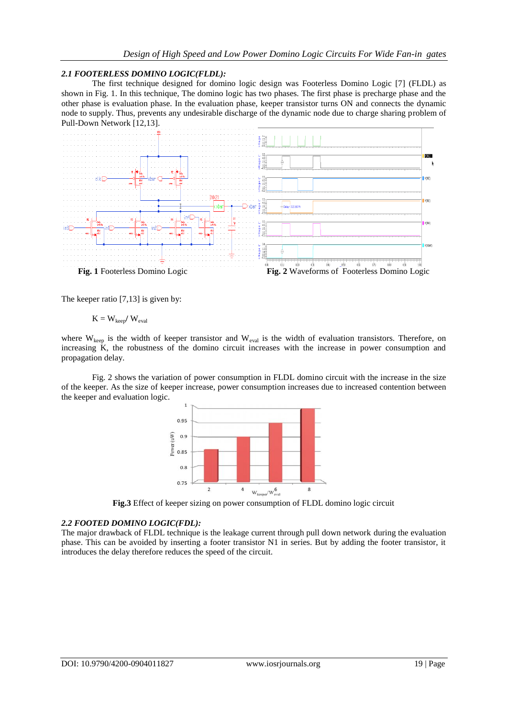#### *2.1 FOOTERLESS DOMINO LOGIC(FLDL):*

The first technique designed for domino logic design was Footerless Domino Logic [7] (FLDL) as shown in Fig. 1. In this technique, The domino logic has two phases. The first phase is precharge phase and the other phase is evaluation phase. In the evaluation phase, keeper transistor turns ON and connects the dynamic node to supply. Thus, prevents any undesirable discharge of the dynamic node due to charge sharing problem of Pull-Down Network [12,13].



The keeper ratio [7,13] is given by:

$$
K=W_{keep}/\ W_{eval}
$$

where  $W_{\text{keep}}$  is the width of keeper transistor and  $W_{\text{eval}}$  is the width of evaluation transistors. Therefore, on increasing K, the robustness of the domino circuit increases with the increase in power consumption and propagation delay.

Fig. 2 shows the variation of power consumption in FLDL domino circuit with the increase in the size of the keeper. As the size of keeper increase, power consumption increases due to increased contention between the keeper and evaluation logic.



**Fig.3** Effect of keeper sizing on power consumption of FLDL domino logic circuit

#### *2.2 FOOTED DOMINO LOGIC(FDL):*

The major drawback of FLDL technique is the leakage current through pull down network during the evaluation phase. This can be avoided by inserting a footer transistor N1 in series. But by adding the footer transistor, it introduces the delay therefore reduces the speed of the circuit.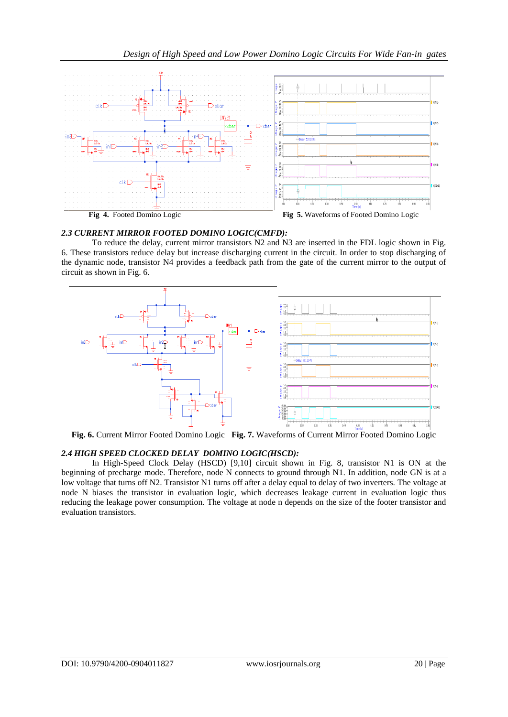

## *2.3 CURRENT MIRROR FOOTED DOMINO LOGIC(CMFD):*

To reduce the delay, current mirror transistors N2 and N3 are inserted in the FDL logic shown in Fig. 6. These transistors reduce delay but increase discharging current in the circuit. In order to stop discharging of the dynamic node, transistor N4 provides a feedback path from the gate of the current mirror to the output of circuit as shown in Fig. 6.



**Fig. 6.** Current Mirror Footed Domino Logic **Fig. 7.** Waveforms of Current Mirror Footed Domino Logic

## *2.4 HIGH SPEED CLOCKED DELAY DOMINO LOGIC(HSCD):*

In High-Speed Clock Delay (HSCD) [9,10] circuit shown in Fig. 8, transistor N1 is ON at the beginning of precharge mode. Therefore, node N connects to ground through N1. In addition, node GN is at a low voltage that turns off N2. Transistor N1 turns off after a delay equal to delay of two inverters. The voltage at node N biases the transistor in evaluation logic, which decreases leakage current in evaluation logic thus reducing the leakage power consumption. The voltage at node n depends on the size of the footer transistor and evaluation transistors.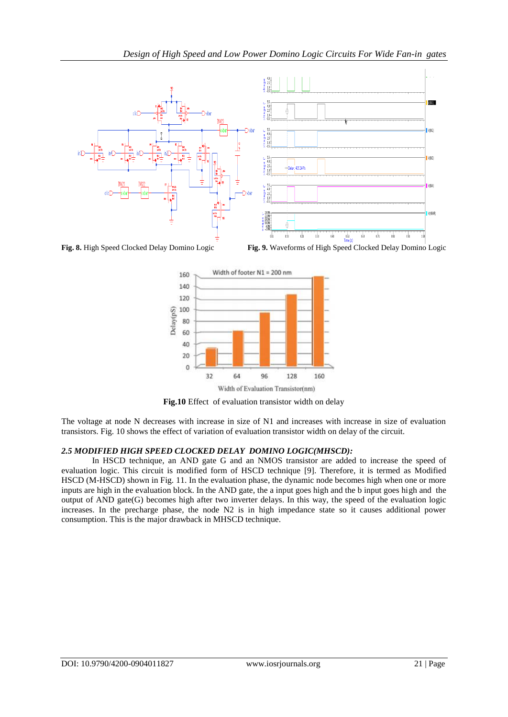

**Fig. 8.** High Speed Clocked Delay Domino Logic **Fig. 9.** Waveforms of High Speed Clocked Delay Domino Logic



**Fig.10** Effect of evaluation transistor width on delay

The voltage at node N decreases with increase in size of N1 and increases with increase in size of evaluation transistors. Fig. 10 shows the effect of variation of evaluation transistor width on delay of the circuit.

# *2.5 MODIFIED HIGH SPEED CLOCKED DELAY DOMINO LOGIC(MHSCD):*

In HSCD technique, an AND gate G and an NMOS transistor are added to increase the speed of evaluation logic. This circuit is modified form of HSCD technique [9]. Therefore, it is termed as Modified HSCD (M-HSCD) shown in Fig. 11. In the evaluation phase, the dynamic node becomes high when one or more inputs are high in the evaluation block. In the AND gate, the a input goes high and the b input goes high and the output of  $AND$  gate $(G)$  becomes high after two inverter delays. In this way, the speed of the evaluation logic increases. In the precharge phase, the node N2 is in high impedance state so it causes additional power consumption. This is the major drawback in MHSCD technique.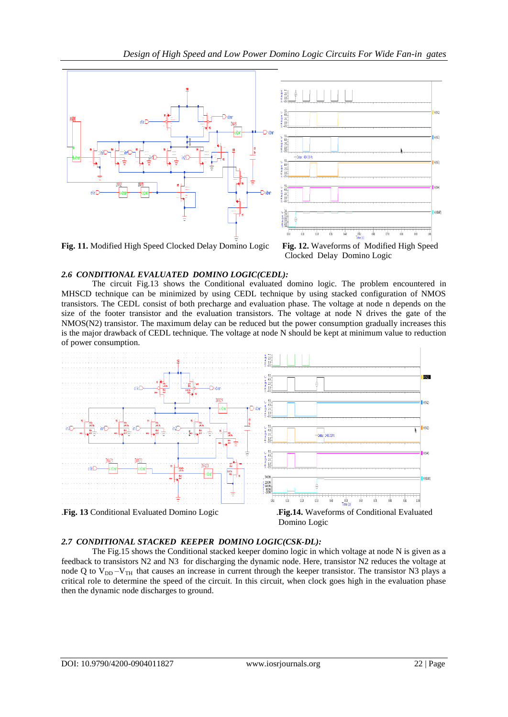

Clocked Delay Domino Logic

# *2.6 CONDITIONAL EVALUATED DOMINO LOGIC(CEDL):*

The circuit Fig.13 shows the Conditional evaluated domino logic. The problem encountered in MHSCD technique can be minimized by using CEDL technique by using stacked configuration of NMOS transistors. The CEDL consist of both precharge and evaluation phase. The voltage at node n depends on the size of the footer transistor and the evaluation transistors. The voltage at node N drives the gate of the NMOS(N2) transistor. The maximum delay can be reduced but the power consumption gradually increases this is the major drawback of CEDL technique. The voltage at node N should be kept at minimum value to reduction of power consumption.



## *2.7 CONDITIONAL STACKED KEEPER DOMINO LOGIC(CSK-DL):*

The Fig.15 shows the Conditional stacked keeper domino logic in which voltage at node N is given as a feedback to transistors N2 and N3 for discharging the dynamic node. Here, transistor N2 reduces the voltage at node Q to  $V_{DD} - V_{TH}$  that causes an increase in current through the keeper transistor. The transistor N3 plays a critical role to determine the speed of the circuit. In this circuit, when clock goes high in the evaluation phase then the dynamic node discharges to ground.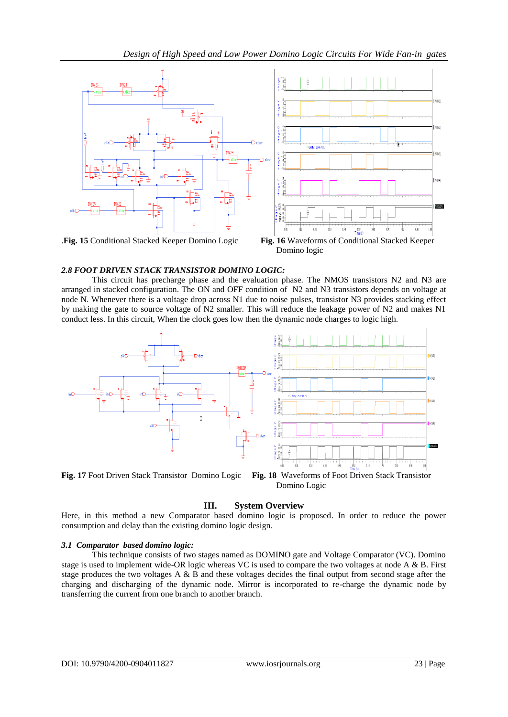

#### *2.8 FOOT DRIVEN STACK TRANSISTOR DOMINO LOGIC:*

This circuit has precharge phase and the evaluation phase. The NMOS transistors N2 and N3 are arranged in stacked configuration. The ON and OFF condition of N2 and N3 transistors depends on voltage at node N. Whenever there is a voltage drop across N1 due to noise pulses, transistor N3 provides stacking effect by making the gate to source voltage of N2 smaller. This will reduce the leakage power of N2 and makes N1 conduct less. In this circuit, When the clock goes low then the dynamic node charges to logic high.



## **III. System Overview**

Here, in this method a new Comparator based domino logic is proposed. In order to reduce the power consumption and delay than the existing domino logic design.

#### *3.1 Comparator based domino logic:*

This technique consists of two stages named as DOMINO gate and Voltage Comparator (VC). Domino stage is used to implement wide-OR logic whereas VC is used to compare the two voltages at node A & B. First stage produces the two voltages A & B and these voltages decides the final output from second stage after the charging and discharging of the dynamic node. Mirror is incorporated to re-charge the dynamic node by transferring the current from one branch to another branch.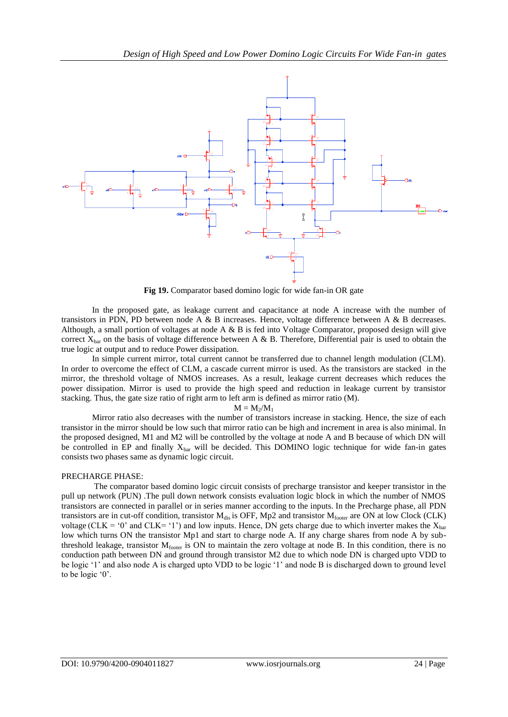

**Fig 19.** Comparator based domino logic for wide fan-in OR gate

In the proposed gate, as leakage current and capacitance at node A increase with the number of transistors in PDN, PD between node A & B increases. Hence, voltage difference between A & B decreases. Although, a small portion of voltages at node A & B is fed into Voltage Comparator, proposed design will give correct  $X_{\text{bar}}$  on the basis of voltage difference between A & B. Therefore, Differential pair is used to obtain the true logic at output and to reduce Power dissipation.

In simple current mirror, total current cannot be transferred due to channel length modulation (CLM). In order to overcome the effect of CLM, a cascade current mirror is used. As the transistors are stacked in the mirror, the threshold voltage of NMOS increases. As a result, leakage current decreases which reduces the power dissipation. Mirror is used to provide the high speed and reduction in leakage current by transistor stacking. Thus, the gate size ratio of right arm to left arm is defined as mirror ratio (M).

$$
\mathbf{M}=\mathbf{M}_2/\mathbf{M}_1
$$

Mirror ratio also decreases with the number of transistors increase in stacking. Hence, the size of each transistor in the mirror should be low such that mirror ratio can be high and increment in area is also minimal. In the proposed designed, M1 and M2 will be controlled by the voltage at node A and B because of which DN will be controlled in EP and finally  $X_{bar}$  will be decided. This DOMINO logic technique for wide fan-in gates consists two phases same as dynamic logic circuit.

#### PRECHARGE PHASE:

The comparator based domino logic circuit consists of precharge transistor and keeper transistor in the pull up network (PUN) .The pull down network consists evaluation logic block in which the number of NMOS transistors are connected in parallel or in series manner according to the inputs. In the Precharge phase, all PDN transistors are in cut-off condition, transistor  $M_{dis}$  is OFF, Mp2 and transistor  $M_{footer}$  are ON at low Clock (CLK) voltage (CLK = '0' and CLK= '1') and low inputs. Hence, DN gets charge due to which inverter makes the  $X_{bar}$ low which turns ON the transistor Mp1 and start to charge node A. If any charge shares from node A by subthreshold leakage, transistor  $M_{\text{footer}}$  is ON to maintain the zero voltage at node B. In this condition, there is no conduction path between DN and ground through transistor M2 due to which node DN is charged upto VDD to be logic '1' and also node A is charged upto VDD to be logic '1' and node B is discharged down to ground level to be logic '0'.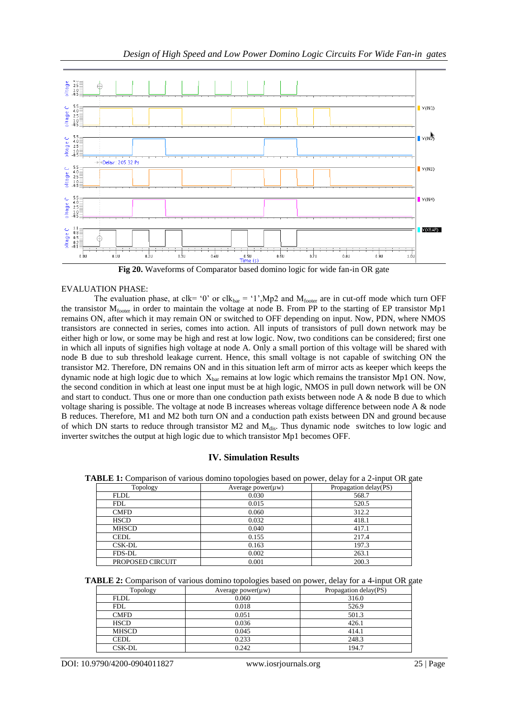

**Fig 20.** Waveforms of Comparator based domino logic for wide fan-in OR gate

#### EVALUATION PHASE:

The evaluation phase, at clk= '0' or clk<sub>bar</sub> = '1',Mp2 and M<sub>footer</sub> are in cut-off mode which turn OFF the transistor M<sub>footer</sub> in order to maintain the voltage at node B. From PP to the starting of EP transistor Mp1 remains ON, after which it may remain ON or switched to OFF depending on input. Now, PDN, where NMOS transistors are connected in series, comes into action. All inputs of transistors of pull down network may be either high or low, or some may be high and rest at low logic. Now, two conditions can be considered; first one in which all inputs of signifies high voltage at node A. Only a small portion of this voltage will be shared with node B due to sub threshold leakage current. Hence, this small voltage is not capable of switching ON the transistor M2. Therefore, DN remains ON and in this situation left arm of mirror acts as keeper which keeps the dynamic node at high logic due to which  $X_{bar}$  remains at low logic which remains the transistor Mp1 ON. Now, the second condition in which at least one input must be at high logic, NMOS in pull down network will be ON and start to conduct. Thus one or more than one conduction path exists between node A & node B due to which voltage sharing is possible. The voltage at node B increases whereas voltage difference between node A & node B reduces. Therefore, M1 and M2 both turn ON and a conduction path exists between DN and ground because of which DN starts to reduce through transistor M2 and M<sub>dis</sub>. Thus dynamic node switches to low logic and inverter switches the output at high logic due to which transistor Mp1 becomes OFF.

## **IV. Simulation Results**

**TABLE 1:** Comparison of various domino topologies based on power, delay for a 2-input OR gate

| Topology         | Average power( $\mu$ w) | Propagation delay(PS) |
|------------------|-------------------------|-----------------------|
| <b>FLDL</b>      | 0.030                   | 568.7                 |
| <b>FDL</b>       | 0.015                   | 520.5                 |
| <b>CMFD</b>      | 0.060                   | 312.2                 |
| <b>HSCD</b>      | 0.032                   | 418.1                 |
| <b>MHSCD</b>     | 0.040                   | 417.1                 |
| <b>CEDL</b>      | 0.155                   | 217.4                 |
| CSK-DL           | 0.163                   | 197.3                 |
| <b>FDS-DL</b>    | 0.002                   | 263.1                 |
| PROPOSED CIRCUIT | 0.001                   | 200.3                 |

**TABLE 2:** Comparison of various domino topologies based on power, delay for a 4-input OR gate

| Topology     | Average power( $\mu$ w) | Propagation delay(PS) |
|--------------|-------------------------|-----------------------|
| <b>FLDL</b>  | 0.060                   | 316.0                 |
| <b>FDL</b>   | 0.018                   | 526.9                 |
| <b>CMFD</b>  | 0.051                   | 501.3                 |
| <b>HSCD</b>  | 0.036                   | 426.1                 |
| <b>MHSCD</b> | 0.045                   | 414.1                 |
| <b>CEDL</b>  | 0.233                   | 248.3                 |
| CSK-DL       | 0.242                   | 194.7                 |

DOI: 10.9790/4200-0904011827 www.iosrjournals.org 25 | Page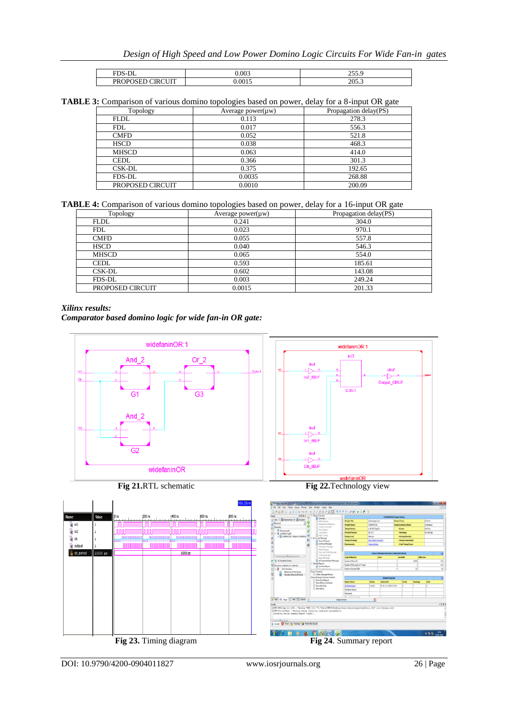| <b>FDS</b>                                                               | 0.003 | $\sim$ $\sim$ $\sim$<br>---- |
|--------------------------------------------------------------------------|-------|------------------------------|
| $\alpha$ in the state of $\alpha$<br><b>PROF</b><br>∴ ب<br>וענ<br>$\sim$ | 001   | ገበሩ<br>-<br>20J.C            |

#### **TABLE 3:** Comparison of various domino topologies based on power, delay for a 8-input OR gate

| Topology         | Average power( $\mu$ w) | Propagation delay(PS) |
|------------------|-------------------------|-----------------------|
| <b>FLDL</b>      | 0.113                   | 278.3                 |
| <b>FDL</b>       | 0.017                   | 556.3                 |
| <b>CMFD</b>      | 0.052                   | 521.8                 |
| <b>HSCD</b>      | 0.038                   | 468.3                 |
| <b>MHSCD</b>     | 0.063                   | 414.0                 |
| <b>CEDL</b>      | 0.366                   | 301.3                 |
| CSK-DL           | 0.375                   | 192.65                |
| <b>FDS-DL</b>    | 0.0035                  | 268.88                |
| PROPOSED CIRCUIT | 0.0010                  | 200.09                |

**TABLE 4:** Comparison of various domino topologies based on power, delay for a 16-input OR gate

| Topology         | Average power( $\mu$ w) | Propagation delay(PS) |
|------------------|-------------------------|-----------------------|
| <b>FLDL</b>      | 0.241                   | 304.0                 |
| <b>FDL</b>       | 0.023                   | 970.1                 |
| <b>CMFD</b>      | 0.055                   | 557.8                 |
| <b>HSCD</b>      | 0.040                   | 546.3                 |
| <b>MHSCD</b>     | 0.065                   | 554.0                 |
| <b>CEDL</b>      | 0.593                   | 185.61                |
| CSK-DL           | 0.602                   | 143.08                |
| FDS-DL           | 0.003                   | 249.24                |
| PROPOSED CIRCUIT | 0.0015                  | 201.33                |

#### *Xilinx results:*

*Comparator based domino logic for wide fan-in OR gate:*